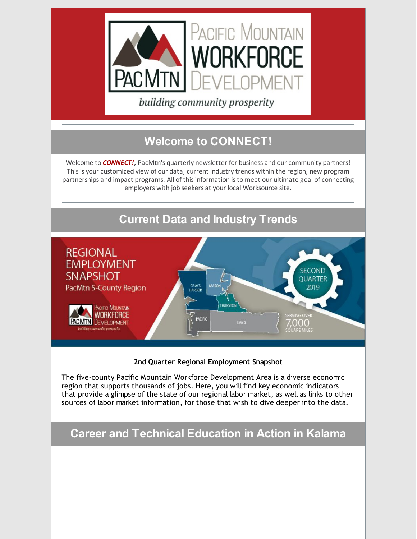

building community prosperity

# **Welcome to CONNECT!**

Welcome to *CONNECT!***,** PacMtn's quarterly newsletter for business and our community partners! This is your customized view of our data, current industry trends within the region, new program partnerships and impact programs. All of thisinformation isto meet our ultimate goal of connecting employers with job seekers at your local Worksource site.



### **2nd Quarter Regional [Employment](https://pacmtn.org/wp-content/uploads/2019/08/PacMtn-Poster-Q2-2019.pdf) Snapshot**

The five-county Pacific Mountain Workforce Development Area is a diverse economic region that supports thousands of jobs. Here, you will find key economic indicators that provide a glimpse of the state of our regional labor market, as well as links to other sources of labor market information, for those that wish to dive deeper into the data.

**Career and Technical Education in Action in Kalama**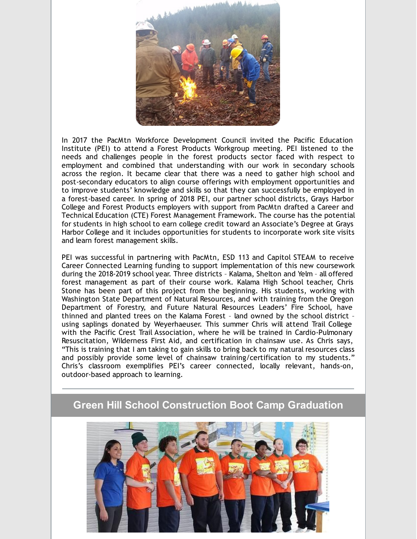

In 2017 the PacMtn Workforce Development Council invited the Pacific Education Institute (PEI) to attend a Forest Products Workgroup meeting. PEI listened to the needs and challenges people in the forest products sector faced with respect to employment and combined that understanding with our work in secondary schools across the region. It became clear that there was a need to gather high school and post-secondary educators to align course offerings with employment opportunities and to improve students' knowledge and skills so that they can successfully be employed in a forest-based career. In spring of 2018 PEI, our partner school districts, Grays Harbor College and Forest Products employers with support from PacMtn drafted a Career and Technical Education (CTE) Forest Management Framework. The course has the potential for students in high school to earn college credit toward an Associate's Degree at Grays Harbor College and it includes opportunities for students to incorporate work site visits and learn forest management skills.

PEI was successful in partnering with PacMtn, ESD 113 and Capitol STEAM to receive Career Connected Learning funding to support implementation of this new coursework during the 2018-2019 school year. Three districts – Kalama, Shelton and Yelm – all offered forest management as part of their course work. Kalama High School teacher, Chris Stone has been part of this project from the beginning. His students, working with Washington State Department of Natural Resources, and with training from the Oregon Department of Forestry, and Future Natural Resources Leaders' Fire School, have thinned and planted trees on the Kalama Forest – land owned by the school district – using saplings donated by Weyerhaeuser. This summer Chris will attend Trail College with the Pacific Crest Trail Association, where he will be trained in Cardio-Pulmonary Resuscitation, Wilderness First Aid, and certification in chainsaw use. As Chris says, "This is training that I am taking to gain skills to bring back to my natural resources class and possibly provide some level of chainsaw training/certification to my students." Chris's classroom exemplifies PEI's career connected, locally relevant, hands-on, outdoor-based approach to learning.

### **Green Hill School Construction Boot Camp Graduation**